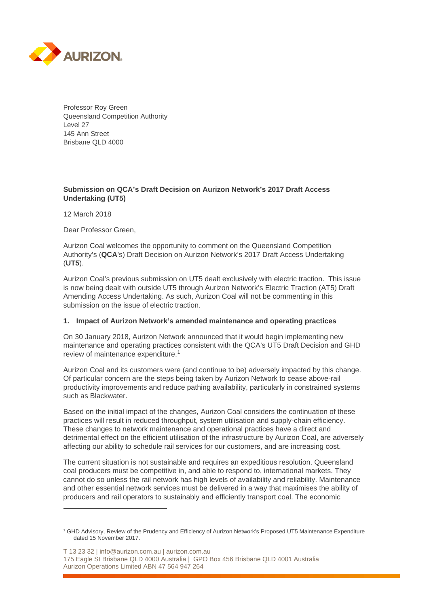

Professor Roy Green Queensland Competition Authority Level 27 145 Ann Street Brisbane QLD 4000

### **Submission on QCA's Draft Decision on Aurizon Network's 2017 Draft Access Undertaking (UT5)**

12 March 2018

 $\overline{a}$ 

Dear Professor Green,

Aurizon Coal welcomes the opportunity to comment on the Queensland Competition Authority's (**QCA**'s) Draft Decision on Aurizon Network's 2017 Draft Access Undertaking (**UT5**).

Aurizon Coal's previous submission on UT5 dealt exclusively with electric traction. This issue is now being dealt with outside UT5 through Aurizon Network's Electric Traction (AT5) Draft Amending Access Undertaking. As such, Aurizon Coal will not be commenting in this submission on the issue of electric traction.

### **1. Impact of Aurizon Network's amended maintenance and operating practices**

On 30 January 2018, Aurizon Network announced that it would begin implementing new maintenance and operating practices consistent with the QCA's UT5 Draft Decision and GHD review of maintenance expenditure.<sup>[1](#page-0-0)</sup>

Aurizon Coal and its customers were (and continue to be) adversely impacted by this change. Of particular concern are the steps being taken by Aurizon Network to cease above-rail productivity improvements and reduce pathing availability, particularly in constrained systems such as Blackwater.

Based on the initial impact of the changes, Aurizon Coal considers the continuation of these practices will result in reduced throughput, system utilisation and supply-chain efficiency. These changes to network maintenance and operational practices have a direct and detrimental effect on the efficient utilisation of the infrastructure by Aurizon Coal, are adversely affecting our ability to schedule rail services for our customers, and are increasing cost.

The current situation is not sustainable and requires an expeditious resolution. Queensland coal producers must be competitive in, and able to respond to, international markets. They cannot do so unless the rail network has high levels of availability and reliability. Maintenance and other essential network services must be delivered in a way that maximises the ability of producers and rail operators to sustainably and efficiently transport coal. The economic

T 13 23 32 | info@aurizon.com.au | aurizon.com.au 175 Eagle St Brisbane QLD 4000 Australia | GPO Box 456 Brisbane QLD 4001 Australia Aurizon Operations Limited ABN 47 564 947 264

<span id="page-0-0"></span><sup>1</sup> GHD Advisory, Review of the Prudency and Efficiency of Aurizon Network's Proposed UT5 Maintenance Expenditure dated 15 November 2017.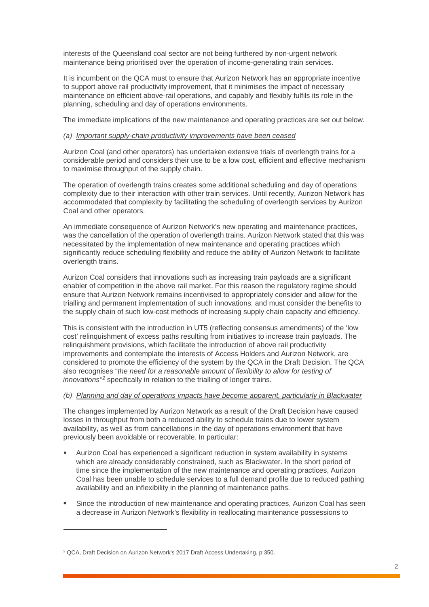interests of the Queensland coal sector are not being furthered by non-urgent network maintenance being prioritised over the operation of income-generating train services.

It is incumbent on the QCA must to ensure that Aurizon Network has an appropriate incentive to support above rail productivity improvement, that it minimises the impact of necessary maintenance on efficient above-rail operations, and capably and flexibly fulfils its role in the planning, scheduling and day of operations environments.

The immediate implications of the new maintenance and operating practices are set out below.

#### *(a) Important supply-chain productivity improvements have been ceased*

Aurizon Coal (and other operators) has undertaken extensive trials of overlength trains for a considerable period and considers their use to be a low cost, efficient and effective mechanism to maximise throughput of the supply chain.

The operation of overlength trains creates some additional scheduling and day of operations complexity due to their interaction with other train services. Until recently, Aurizon Network has accommodated that complexity by facilitating the scheduling of overlength services by Aurizon Coal and other operators.

An immediate consequence of Aurizon Network's new operating and maintenance practices, was the cancellation of the operation of overlength trains. Aurizon Network stated that this was necessitated by the implementation of new maintenance and operating practices which significantly reduce scheduling flexibility and reduce the ability of Aurizon Network to facilitate overlength trains.

Aurizon Coal considers that innovations such as increasing train payloads are a significant enabler of competition in the above rail market. For this reason the regulatory regime should ensure that Aurizon Network remains incentivised to appropriately consider and allow for the trialling and permanent implementation of such innovations, and must consider the benefits to the supply chain of such low-cost methods of increasing supply chain capacity and efficiency.

This is consistent with the introduction in UT5 (reflecting consensus amendments) of the 'low cost' relinquishment of excess paths resulting from initiatives to increase train payloads. The relinquishment provisions, which facilitate the introduction of above rail productivity improvements and contemplate the interests of Access Holders and Aurizon Network, are considered to promote the efficiency of the system by the QCA in the Draft Decision. The QCA also recognises "*the need for a reasonable amount of flexibility to allow for testing of innovations"[2](#page-1-0)* specifically in relation to the trialling of longer trains.

#### *(b) Planning and day of operations impacts have become apparent, particularly in Blackwater*

The changes implemented by Aurizon Network as a result of the Draft Decision have caused losses in throughput from both a reduced ability to schedule trains due to lower system availability, as well as from cancellations in the day of operations environment that have previously been avoidable or recoverable. In particular:

- Aurizon Coal has experienced a significant reduction in system availability in systems which are already considerably constrained, such as Blackwater. In the short period of time since the implementation of the new maintenance and operating practices, Aurizon Coal has been unable to schedule services to a full demand profile due to reduced pathing availability and an inflexibility in the planning of maintenance paths.
- Since the introduction of new maintenance and operating practices, Aurizon Coal has seen a decrease in Aurizon Network's flexibility in reallocating maintenance possessions to

 $\overline{a}$ 

<span id="page-1-0"></span><sup>&</sup>lt;sup>2</sup> QCA, Draft Decision on Aurizon Network's 2017 Draft Access Undertaking, p 350.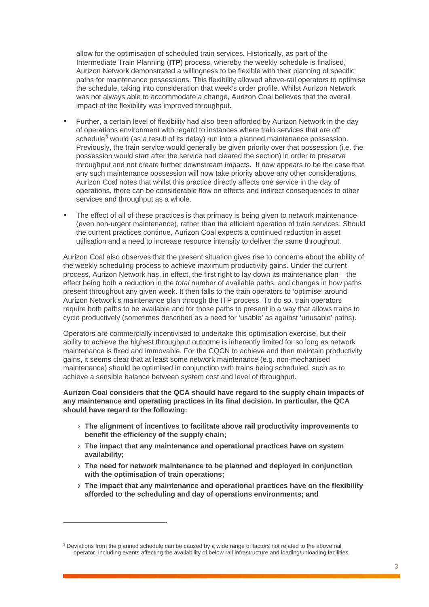allow for the optimisation of scheduled train services. Historically, as part of the Intermediate Train Planning (**ITP**) process, whereby the weekly schedule is finalised, Aurizon Network demonstrated a willingness to be flexible with their planning of specific paths for maintenance possessions. This flexibility allowed above-rail operators to optimise the schedule, taking into consideration that week's order profile. Whilst Aurizon Network was not always able to accommodate a change, Aurizon Coal believes that the overall impact of the flexibility was improved throughput.

- Further, a certain level of flexibility had also been afforded by Aurizon Network in the day of operations environment with regard to instances where train services that are off schedule<sup>[3](#page-2-0)</sup> would (as a result of its delay) run into a planned maintenance possession. Previously, the train service would generally be given priority over that possession (i.e. the possession would start after the service had cleared the section) in order to preserve throughput and not create further downstream impacts. It now appears to be the case that any such maintenance possession will now take priority above any other considerations. Aurizon Coal notes that whilst this practice directly affects one service in the day of operations, there can be considerable flow on effects and indirect consequences to other services and throughput as a whole.
- **The effect of all of these practices is that primacy is being given to network maintenance** (even non-urgent maintenance), rather than the efficient operation of train services. Should the current practices continue, Aurizon Coal expects a continued reduction in asset utilisation and a need to increase resource intensity to deliver the same throughput.

Aurizon Coal also observes that the present situation gives rise to concerns about the ability of the weekly scheduling process to achieve maximum productivity gains. Under the current process, Aurizon Network has, in effect, the first right to lay down its maintenance plan – the effect being both a reduction in the *total* number of available paths, and changes in how paths present throughout any given week. It then falls to the train operators to 'optimise' around Aurizon Network's maintenance plan through the ITP process. To do so, train operators require both paths to be available and for those paths to present in a way that allows trains to cycle productively (sometimes described as a need for 'usable' as against 'unusable' paths).

Operators are commercially incentivised to undertake this optimisation exercise, but their ability to achieve the highest throughput outcome is inherently limited for so long as network maintenance is fixed and immovable. For the CQCN to achieve and then maintain productivity gains, it seems clear that at least some network maintenance (e.g. non-mechanised maintenance) should be optimised in conjunction with trains being scheduled, such as to achieve a sensible balance between system cost and level of throughput.

#### **Aurizon Coal considers that the QCA should have regard to the supply chain impacts of any maintenance and operating practices in its final decision. In particular, the QCA should have regard to the following:**

- **› The alignment of incentives to facilitate above rail productivity improvements to benefit the efficiency of the supply chain;**
- **› The impact that any maintenance and operational practices have on system availability;**
- **› The need for network maintenance to be planned and deployed in conjunction with the optimisation of train operations;**
- **› The impact that any maintenance and operational practices have on the flexibility afforded to the scheduling and day of operations environments; and**

 $\overline{a}$ 

<span id="page-2-0"></span><sup>&</sup>lt;sup>3</sup> Deviations from the planned schedule can be caused by a wide range of factors not related to the above rail operator, including events affecting the availability of below rail infrastructure and loading/unloading facilities.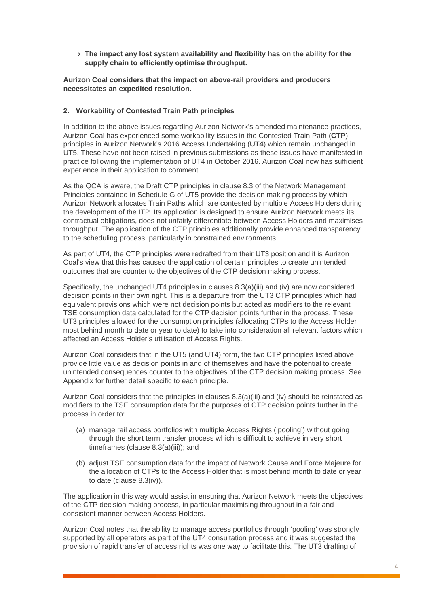**› The impact any lost system availability and flexibility has on the ability for the supply chain to efficiently optimise throughput.**

**Aurizon Coal considers that the impact on above-rail providers and producers necessitates an expedited resolution.**

#### **2. Workability of Contested Train Path principles**

In addition to the above issues regarding Aurizon Network's amended maintenance practices, Aurizon Coal has experienced some workability issues in the Contested Train Path (**CTP**) principles in Aurizon Network's 2016 Access Undertaking (**UT4**) which remain unchanged in UT5. These have not been raised in previous submissions as these issues have manifested in practice following the implementation of UT4 in October 2016. Aurizon Coal now has sufficient experience in their application to comment.

As the QCA is aware, the Draft CTP principles in clause 8.3 of the Network Management Principles contained in Schedule G of UT5 provide the decision making process by which Aurizon Network allocates Train Paths which are contested by multiple Access Holders during the development of the ITP. Its application is designed to ensure Aurizon Network meets its contractual obligations, does not unfairly differentiate between Access Holders and maximises throughput. The application of the CTP principles additionally provide enhanced transparency to the scheduling process, particularly in constrained environments.

As part of UT4, the CTP principles were redrafted from their UT3 position and it is Aurizon Coal's view that this has caused the application of certain principles to create unintended outcomes that are counter to the objectives of the CTP decision making process.

Specifically, the unchanged UT4 principles in clauses 8.3(a)(iii) and (iv) are now considered decision points in their own right. This is a departure from the UT3 CTP principles which had equivalent provisions which were not decision points but acted as modifiers to the relevant TSE consumption data calculated for the CTP decision points further in the process. These UT3 principles allowed for the consumption principles (allocating CTPs to the Access Holder most behind month to date or year to date) to take into consideration all relevant factors which affected an Access Holder's utilisation of Access Rights.

Aurizon Coal considers that in the UT5 (and UT4) form, the two CTP principles listed above provide little value as decision points in and of themselves and have the potential to create unintended consequences counter to the objectives of the CTP decision making process. See Appendix for further detail specific to each principle.

Aurizon Coal considers that the principles in clauses 8.3(a)(iii) and (iv) should be reinstated as modifiers to the TSE consumption data for the purposes of CTP decision points further in the process in order to:

- (a) manage rail access portfolios with multiple Access Rights ('pooling') without going through the short term transfer process which is difficult to achieve in very short timeframes (clause 8.3(a)(iii)); and
- (b) adjust TSE consumption data for the impact of Network Cause and Force Majeure for the allocation of CTPs to the Access Holder that is most behind month to date or year to date (clause 8.3(iv)).

The application in this way would assist in ensuring that Aurizon Network meets the objectives of the CTP decision making process, in particular maximising throughput in a fair and consistent manner between Access Holders.

Aurizon Coal notes that the ability to manage access portfolios through 'pooling' was strongly supported by all operators as part of the UT4 consultation process and it was suggested the provision of rapid transfer of access rights was one way to facilitate this. The UT3 drafting of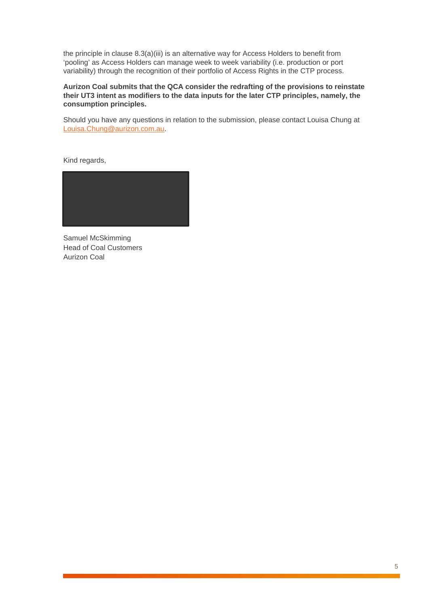the principle in clause 8.3(a)(iii) is an alternative way for Access Holders to benefit from 'pooling' as Access Holders can manage week to week variability (i.e. production or port variability) through the recognition of their portfolio of Access Rights in the CTP process.

#### **Aurizon Coal submits that the QCA consider the redrafting of the provisions to reinstate their UT3 intent as modifiers to the data inputs for the later CTP principles, namely, the consumption principles.**

Should you have any questions in relation to the submission, please contact Louisa Chung at [Louisa.Chung@aurizon.com.au.](mailto:Louisa.Chung@aurizon.com.au)

Kind regards,



Samuel McSkimming Head of Coal Customers Aurizon Coal